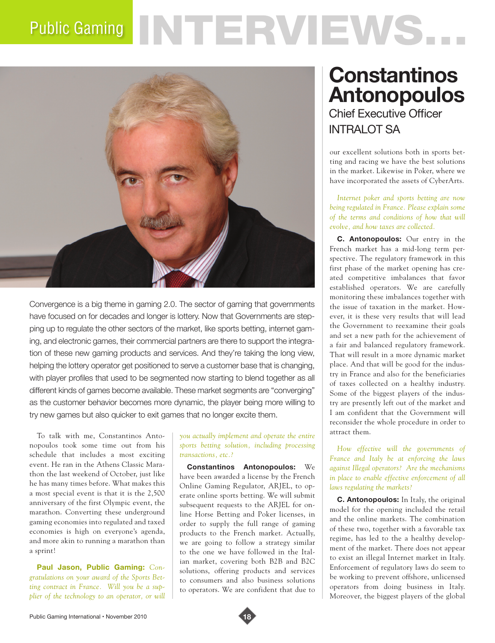# Public Gaming NTERVEWS.



Convergence is a big theme in gaming 2.0. The sector of gaming that governments have focused on for decades and longer is lottery. Now that Governments are stepping up to regulate the other sectors of the market, like sports betting, internet gaming, and electronic games, their commercial partners are there to support the integration of these new gaming products and services. And they're taking the long view, helping the lottery operator get positioned to serve a customer base that is changing, with player profiles that used to be segmented now starting to blend together as all different kinds of games become available. These market segments are "converging" as the customer behavior becomes more dynamic, the player being more willing to try new games but also quicker to exit games that no longer excite them.

To talk with me, Constantinos Antonopoulos took some time out from his schedule that includes a most exciting event. He ran in the Athens Classic Marathon the last weekend of October, just like he has many times before. What makes this a most special event is that it is the 2,500 anniversary of the first Olympic event, the marathon. Converting these underground gaming economies into regulated and taxed economies is high on everyone's agenda, and more akin to running a marathon than a sprint!

**Paul Jason, Public Gaming:** *Congratulations on your award of the Sports Betting contract in France. Will you be a supplier of the technology to an operator, or will* 

#### *you actually implement and operate the entire sports betting solution, including processing transactions, etc.?*

**Constantinos Antonopoulos:** We have been awarded a license by the French Online Gaming Regulator, ARJEL, to operate online sports betting. We will submit subsequent requests to the ARJEL for online Horse Betting and Poker licenses, in order to supply the full range of gaming products to the French market. Actually, we are going to follow a strategy similar to the one we have followed in the Italian market, covering both B2B and B2C solutions, offering products and services to consumers and also business solutions to operators. We are confident that due to

## **Constantinos Antonopoulos** Chief Executive Officer

INTRAI OT SA

our excellent solutions both in sports betting and racing we have the best solutions in the market. Likewise in Poker, where we have incorporated the assets of CyberArts.

*Internet poker and sports betting are now being regulated in France. Please explain some of the terms and conditions of how that will evolve, and how taxes are collected.*

**C. Antonopoulos:** Our entry in the French market has a mid-long term perspective. The regulatory framework in this first phase of the market opening has created competitive imbalances that favor established operators. We are carefully monitoring these imbalances together with the issue of taxation in the market. However, it is these very results that will lead the Government to reexamine their goals and set a new path for the achievement of a fair and balanced regulatory framework. That will result in a more dynamic market place. And that will be good for the industry in France and also for the beneficiaries of taxes collected on a healthy industry. Some of the biggest players of the industry are presently left out of the market and I am confident that the Government will reconsider the whole procedure in order to attract them.

*How effective will the governments of France and Italy be at enforcing the laws against Illegal operators? Are the mechanisms in place to enable effective enforcement of all laws regulating the markets?*

**C. Antonopoulos:** In Italy, the original model for the opening included the retail and the online markets. The combination of these two, together with a favorable tax regime, has led to the a healthy development of the market. There does not appear to exist an illegal Internet market in Italy. Enforcement of regulatory laws do seem to be working to prevent offshore, unlicensed operators from doing business in Italy. Moreover, the biggest players of the global

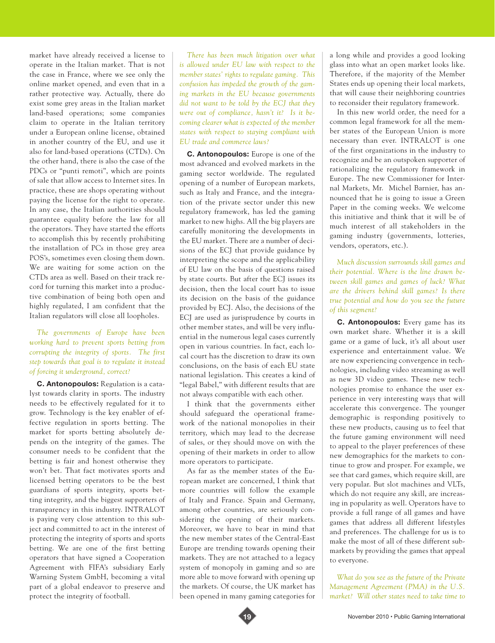market have already received a license to operate in the Italian market. That is not the case in France, where we see only the online market opened, and even that in a rather protective way. Actually, there do exist some grey areas in the Italian market land-based operations; some companies claim to operate in the Italian territory under a European online license, obtained in another country of the EU, and use it also for land-based operations (CTDs). On the other hand, there is also the case of the PDCs or "punti remoti", which are points of sale that allow access to Internet sites. In practice, these are shops operating without paying the license for the right to operate. In any case, the Italian authorities should guarantee equality before the law for all the operators. They have started the efforts to accomplish this by recently prohibiting the installation of PCs in those grey area POS's, sometimes even closing them down. We are waiting for some action on the CTDs area as well. Based on their track record for turning this market into a productive combination of being both open and highly regulated, I am confident that the Italian regulators will close all loopholes.

## *The governments of Europe have been working hard to prevent sports betting from corrupting the integrity of sports. The first step towards that goal is to regulate it instead of forcing it underground, correct?*

**C. Antonopoulos:** Regulation is a catalyst towards clarity in sports. The industry needs to be effectively regulated for it to grow. Technology is the key enabler of effective regulation in sports betting. The market for sports betting absolutely depends on the integrity of the games. The consumer needs to be confident that the betting is fair and honest otherwise they won't bet. That fact motivates sports and licensed betting operators to be the best guardians of sports integrity, sports betting integrity, and the biggest supporters of transparency in this industry. INTRALOT is paying very close attention to this subject and committed to act in the interest of protecting the integrity of sports and sports betting. We are one of the first betting operators that have signed a Cooperation Agreement with FIFA's subsidiary Early Warning System GmbH, becoming a vital part of a global endeavor to preserve and protect the integrity of football.

*There has been much litigation over what is allowed under EU law with respect to the member states' rights to regulate gaming. This confusion has impeded the growth of the gaming markets in the EU because governments did not want to be told by the ECJ that they were out of compliance, hasn't it? Is it becoming clearer what is expected of the member states with respect to staying compliant with EU trade and commerce laws?*

**C. Antonopoulos:** Europe is one of the most advanced and evolved markets in the gaming sector worldwide. The regulated opening of a number of European markets, such as Italy and France, and the integration of the private sector under this new regulatory framework, has led the gaming market to new highs. All the big players are carefully monitoring the developments in the EU market. There are a number of decisions of the ECJ that provide guidance by interpreting the scope and the applicability of EU law on the basis of questions raised by state courts. But after the ECJ issues its decision, then the local court has to issue its decision on the basis of the guidance provided by ECJ. Also, the decisions of the ECJ are used as jurisprudence by courts in other member states, and will be very influential in the numerous legal cases currently open in various countries. In fact, each local court has the discretion to draw its own conclusions, on the basis of each EU state national legislation. This creates a kind of "legal Babel," with different results that are not always compatible with each other.

I think that the governments either should safeguard the operational framework of the national monopolies in their territory, which may lead to the decrease of sales, or they should move on with the opening of their markets in order to allow more operators to participate.

As far as the member states of the European market are concerned, I think that more countries will follow the example of Italy and France. Spain and Germany, among other countries, are seriously considering the opening of their markets. Moreover, we have to bear in mind that the new member states of the Central-East Europe are trending towards opening their markets. They are not attached to a legacy system of monopoly in gaming and so are more able to move forward with opening up the markets. Of course, the UK market has been opened in many gaming categories for a long while and provides a good looking glass into what an open market looks like. Therefore, if the majority of the Member States ends up opening their local markets, that will cause their neighboring countries to reconsider their regulatory framework.

In this new world order, the need for a common legal framework for all the member states of the European Union is more necessary than ever. INTRALOT is one of the first organizations in the industry to recognize and be an outspoken supporter of rationalizing the regulatory framework in Europe. The new Commissioner for Internal Markets, Mr. Michel Barnier, has announced that he is going to issue a Green Paper in the coming weeks. We welcome this initiative and think that it will be of much interest of all stakeholders in the gaming industry (governments, lotteries, vendors, operators, etc.).

*Much discussion surrounds skill games and their potential. Where is the line drawn between skill games and games of luck? What are the drivers behind skill games? Is there true potential and how do you see the future of this segment?*

**C. Antonopoulos:** Every game has its own market share. Whether it is a skill game or a game of luck, it's all about user experience and entertainment value. We are now experiencing convergence in technologies, including video streaming as well as new 3D video games. These new technologies promise to enhance the user experience in very interesting ways that will accelerate this convergence. The younger demographic is responding positively to these new products, causing us to feel that the future gaming environment will need to appeal to the player preferences of these new demographics for the markets to continue to grow and prosper. For example, we see that card games, which require skill, are very popular. But slot machines and VLTs, which do not require any skill, are increasing in popularity as well. Operators have to provide a full range of all games and have games that address all different lifestyles and preferences. The challenge for us is to make the most of all of these different submarkets by providing the games that appeal to everyone.

*What do you see as the future of the Private Management Agreement (PMA) in the U.S. market? Will other states need to take time to*